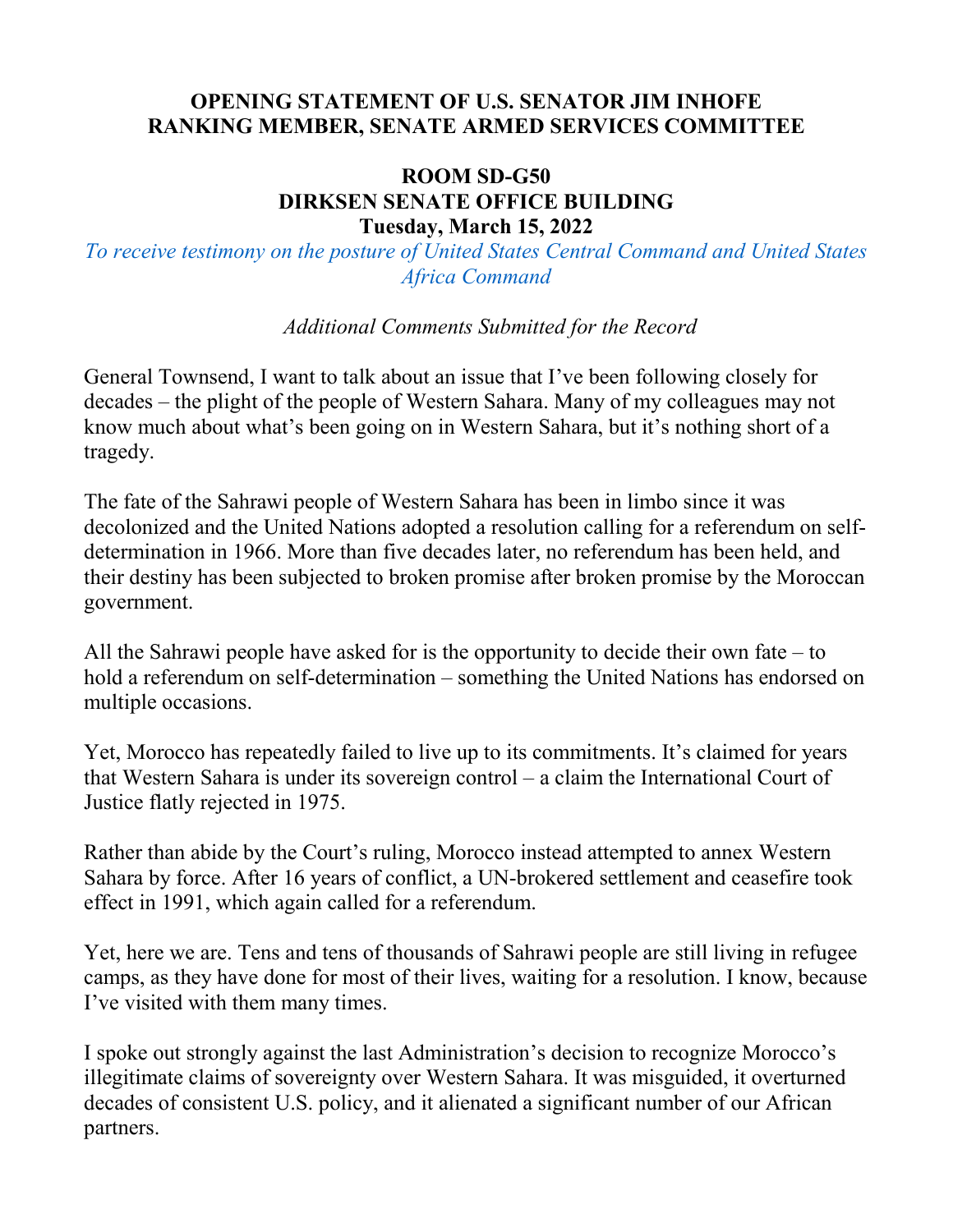## **OPENING STATEMENT OF U.S. SENATOR JIM INHOFE RANKING MEMBER, SENATE ARMED SERVICES COMMITTEE**

## **ROOM SD-G50 DIRKSEN SENATE OFFICE BUILDING Tuesday, March 15, 2022**

*To receive testimony on the posture of United States Central Command and United States Africa Command*

*Additional Comments Submitted for the Record*

General Townsend, I want to talk about an issue that I've been following closely for decades – the plight of the people of Western Sahara. Many of my colleagues may not know much about what's been going on in Western Sahara, but it's nothing short of a tragedy.

The fate of the Sahrawi people of Western Sahara has been in limbo since it was decolonized and the United Nations adopted a resolution calling for a referendum on selfdetermination in 1966. More than five decades later, no referendum has been held, and their destiny has been subjected to broken promise after broken promise by the Moroccan government.

All the Sahrawi people have asked for is the opportunity to decide their own fate – to hold a referendum on self-determination – something the United Nations has endorsed on multiple occasions.

Yet, Morocco has repeatedly failed to live up to its commitments. It's claimed for years that Western Sahara is under its sovereign control – a claim the International Court of Justice flatly rejected in 1975.

Rather than abide by the Court's ruling, Morocco instead attempted to annex Western Sahara by force. After 16 years of conflict, a UN-brokered settlement and ceasefire took effect in 1991, which again called for a referendum.

Yet, here we are. Tens and tens of thousands of Sahrawi people are still living in refugee camps, as they have done for most of their lives, waiting for a resolution. I know, because I've visited with them many times.

I spoke out strongly against the last Administration's decision to recognize Morocco's illegitimate claims of sovereignty over Western Sahara. It was misguided, it overturned decades of consistent U.S. policy, and it alienated a significant number of our African partners.